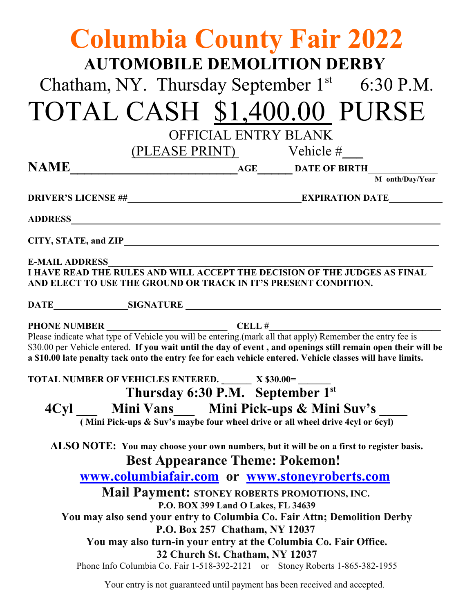| <b>Columbia County Fair 2022</b><br><b>AUTOMOBILE DEMOLITION DERBY</b><br>Chatham, NY. Thursday September $1st$ 6:30 P.M.<br>TOTAL CASH \$1,400.00 PURSE                                                                                                                                                                                 |                                                                                                                                                                                                                                                                                                                                                                                                  |
|------------------------------------------------------------------------------------------------------------------------------------------------------------------------------------------------------------------------------------------------------------------------------------------------------------------------------------------|--------------------------------------------------------------------------------------------------------------------------------------------------------------------------------------------------------------------------------------------------------------------------------------------------------------------------------------------------------------------------------------------------|
|                                                                                                                                                                                                                                                                                                                                          | <b>OFFICIAL ENTRY BLANK</b>                                                                                                                                                                                                                                                                                                                                                                      |
|                                                                                                                                                                                                                                                                                                                                          | (PLEASE PRINT) Vehicle #                                                                                                                                                                                                                                                                                                                                                                         |
| <b>NAME</b>                                                                                                                                                                                                                                                                                                                              | AGE   DATE OF BIRTH  M onth/Day/Yes                                                                                                                                                                                                                                                                                                                                                              |
|                                                                                                                                                                                                                                                                                                                                          | M onth/Day/Year                                                                                                                                                                                                                                                                                                                                                                                  |
|                                                                                                                                                                                                                                                                                                                                          |                                                                                                                                                                                                                                                                                                                                                                                                  |
|                                                                                                                                                                                                                                                                                                                                          |                                                                                                                                                                                                                                                                                                                                                                                                  |
| <b>E-MAIL ADDRESS</b><br>AND ELECT TO USE THE GROUND OR TRACK IN IT'S PRESENT CONDITION.                                                                                                                                                                                                                                                 | I HAVE READ THE RULES AND WILL ACCEPT THE DECISION OF THE JUDGES AS FINAL                                                                                                                                                                                                                                                                                                                        |
|                                                                                                                                                                                                                                                                                                                                          |                                                                                                                                                                                                                                                                                                                                                                                                  |
| Please indicate what type of Vehicle you will be entering.(mark all that apply) Remember the entry fee is<br>\$30.00 per Vehicle entered. If you wait until the day of event, and openings still remain open their will be<br>a \$10.00 late penalty tack onto the entry fee for each vehicle entered. Vehicle classes will have limits. |                                                                                                                                                                                                                                                                                                                                                                                                  |
| TOTAL NUMBER OF VEHICLES ENTERED. X \$30.00=                                                                                                                                                                                                                                                                                             |                                                                                                                                                                                                                                                                                                                                                                                                  |
| Thursday 6:30 P.M. September 1st                                                                                                                                                                                                                                                                                                         |                                                                                                                                                                                                                                                                                                                                                                                                  |
| 4Cyl ___ Mini Vans___ Mini Pick-ups & Mini Suv's<br>(Mini Pick-ups & Suv's maybe four wheel drive or all wheel drive 4cyl or 6cyl)                                                                                                                                                                                                       |                                                                                                                                                                                                                                                                                                                                                                                                  |
| ALSO NOTE: You may choose your own numbers, but it will be on a first to register basis.<br><b>Best Appearance Theme: Pokemon!</b>                                                                                                                                                                                                       |                                                                                                                                                                                                                                                                                                                                                                                                  |
|                                                                                                                                                                                                                                                                                                                                          | www.columbiafair.com or www.stoneyroberts.com                                                                                                                                                                                                                                                                                                                                                    |
|                                                                                                                                                                                                                                                                                                                                          | <b>Mail Payment: STONEY ROBERTS PROMOTIONS, INC.</b><br>P.O. BOX 399 Land O Lakes, FL 34639<br>You may also send your entry to Columbia Co. Fair Attn; Demolition Derby<br>P.O. Box 257 Chatham, NY 12037<br>You may also turn-in your entry at the Columbia Co. Fair Office.<br>32 Church St. Chatham, NY 12037<br>Phone Info Columbia Co. Fair 1-518-392-2121 or Stoney Roberts 1-865-382-1955 |

Your entry is not guaranteed until payment has been received and accepted.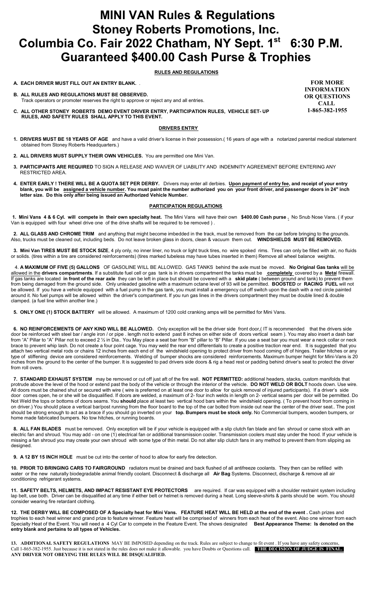## **MINI VAN Rules & Regulations Stoney Roberts Promotions, Inc. Columbia Co. Fair 2022 Chatham, NY Sept. 1st 6:30 P.M. Guaranteed \$400.00 Cash Purse & Trophies**

 **RULES AND REGULATIONS**

#### **A. EACH DRIVER MUST FILL OUT AN ENTRY BLANK.** .

- **B. ALL RULES AND REGULATIONS MUST BE OBSERVED.** Track operators or promoter reserves the right to approve or reject any and all entries.
- **C. ALL OTHER STONEY ROBERTS DEMO EVENT DRIVER ENTRY, PARTICIPATION RULES, VEHICLE SET- UP RULES, AND SAFETY RULES SHALL APPLY TO THIS EVENT.**

## **DRIVERS ENTRY**

- **1. DRIVERS MUST BE 18 YEARS OF AGE** and have a valid driver's license in their possession.( 16 years of age with a notarized parental medical statement obtained from Stoney Roberts Headquarters.)
- **2. ALL DRIVERS MUST SUPPLY THEIR OWN VEHICLES.** You are permitted one Mini Van.
- **3. PARTICIPANTS ARE REQUIRED** TO SIGN A RELEASE AND WAIVER OF LIABILITY AND INDEMNITY AGREEMENT BEFORE ENTERING ANY RESTRICTED AREA.
- **4. ENTER EARLY ! THERE WILL BE A QUOTA SET PER DERBY.** Drivers may enter all derbies. **Upon payment of entry fee, and receipt of your entry blank, you will be assigned a vehicle number. You must paint the number authorized you on your front driver, and passenger doors in 24" inch letter size. Do this only after being issued an Authorized Vehicle Number.**

#### **PARTICIPATION REGULATIONS**

 **1. Mini Vans 4 & 6 Cyl. will compete in their own specialty heat.** The Mini Vans will have their own **\$400.00 Cash purse .** No Snub Nose Vans. ( if your Van is equipped with four wheel drive one of the drive shafts will be required to be removed ) .

 **2. ALL GLASS AND CHROME TRIM** and anything that might become imbedded in the track, must be removed from the car before bringing to the grounds. Also, trucks must be cleaned out, including beds. Do not leave broken glass in doors, clean & vacuum them out. **WINDSHIELDS MUST BE REMOVED.**

 **3. Mini Van TIRES MUST BE STOCK SIZE**, 4 ply only, no inner liner, no truck or light truck tires, no wire spoked rims. Tires can only be filled with air, no fluids or solids. (tires within a tire are considered reinforcements) (tires marked tubeless may have tubes inserted in them) Remove all wheel balance weights.

 4. **A MAXIMUM OF FIVE (5) GALLONS** OF GASOLINE WILL BE ALLOWED. GAS TANKS behind the axle must be moved. **No Original Gas tanks** will be allowed in the **drivers compartments**. If a substitute fuel cell or gas tank is in drivers compartment the tanks must be **completely** covered by a **Meta**l firewall. If gas tanks are located **in front of the rear axle** they can be left in place but should be covered with a **skid plate** ( between ground and tank) to prevent them from being damaged from the ground side.Only unleaded gasoline with a maximum octane level of 93 will be permitted. **BOOSTED** or **RACING FUEL** will not be allowed. If you have a vehicle equipped with a fuel pump in the gas tank, you must install a emergency cut off switch upon the dash with a red circle painted around it. No fuel pumps will be allowed within the driver's compartment. If you run gas lines in the drivers compartment they must be double lined & double clamped. (a fuel line within another line.)

 **5. ONLY ONE (1) STOCK BATTERY** will be allowed. A maximum of 1200 cold cranking amps will be permitted for Mini Vans.

**6. NO REINFORCEMENTS OF ANY KIND WILL BE ALLOWED.** Only exception will be the driver side front door,( IT is recommended that the drivers side door be reinforced with steel bar / angle iron / or pipe . length not to extend past 8 inches on either side of doors vertical seam ). You may also insert a dash bar from "A" Pillar to "A" Pillar not to exceed 2 ½ in Dia.. You May place a seat bar from "B" pillar to "B" Pillar. If you use a seat bar you must wear a neck collar or neck brace to prevent whip lash. Do not create a four point cage. You may weld the rear end differentials to create a positive traction rear end. It is suggested that you attach two vertical metal rods or chains 12 inches from each end of the windshield opening to protect driver from hood coming off of hinges. Trailer hitches or any type of stiffening device are considered reinforcements. Welding of bumper shocks are considered reinforcements. Maximum bumper height for Mini-Vans is 20 inches from the ground to the center of the bumper. It is suggested to pad drivers side doors & rig a head rest or padding behind driver's seat to protect the driver from roll overs.

 **7. STANDARD EXHAUST SYSTEM** may be removed or cut off just aft of the fire wall. **NOT PERMITTED:** additional headers, stacks, custom manifolds that protrude above the level of the hood or extend past the body of the vehicle or through the interior of the vehicle. **DO NOT WELD OR BOLT** hoods down. Use wire. All doors must be chained shut or secured with wire ( wire is preferred on at least one door to allow for quick removal of injured participants). If a driver's side door comes open, he or she will be disqualified. If doors are welded, a maximum of 2- four inch welds in length on 2- vertical seams per door will be permitted. Do Not Weld the tops or bottoms of doors seams. You **should** place at least two vertical hood bars within the windshield opening. ( To prevent hood from coming in on driver.) You should place a vertical bar/post running from the floor board to the top of the car bolted from inside out near the center of the driver seat.. The post should be strong enough to act as a brace if you should go inverted on your **top. Bumpers must be stock only.** No Commercial bumpers, wooden bumpers, or home made fabricated bumpers. No tow hitches, or running boards.

 **8. ALL FAN BLADES** must be removed. Only exception will be if your vehicle is equipped with a slip clutch fan blade and fan shroud or came stock with an electric fan and shroud. You may add - on one (1) electrical fan or additional transmission cooler. Transmission coolers must stay under the hood. If your vehicle is missing a fan shroud you may create your own shroud with some type of thin metal. Do not alter slip clutch fans in any method to prevent them from slipping as designed.

 **9. A 12 BY 15 INCH HOLE** must be cut into the center of hood to allow for early fire detection.

**10. PRIOR TO BRINGING CARS TO FAIRGROUND** radiators must be drained and back flushed of all antifreeze coolants. They then can be refilled with water or the new naturally biodegradable animal friendly coolant. Disconnect & discharge all **Air Bag** Systems. Disconnect, discharge & remove all air conditioning refrigerant systems.

11. SAFETY BELTS, HELMETS, AND IMPACT RESISTANT EYE PROTECTORS are required. If car was equipped with a shoulder restraint system including lap belt, use both. Driver can be disqualified at any time if either belt or helmet is removed during a heat. Long sleeve-shirts & pants should be worn. You should consider wearing fire retardant clothing.

**12. THE DERBY WILL BE COMPOSED OF A Specialty heat for Mini Vans. FEATURE HEAT WILL BE HELD at the end of the event .** Cash prizes and trophies to each heat winner and grand prize to feature winner. Feature heat will be comprised of winners from each heat of the event. Also one winner from each Specialty Heat of the Event. You will need a 4 Cyl Car to compete in the Feature Event. The shows designated **Best Appearance Theme: Is denoted on the entry blank and pertains to all types of Vehicles.**

13. ADDITIONAL SAFETY REGULATIONS MAY BE IMPOSED depending on the track. Rules are subject to change to fit event . If you have any safety concerns Call 1-865-382-1955. Just because it is not stated in the rules does not make it allowable. you have Doubts or Questions call. **THE DECISION OF JUDGE IS FINAL.**  ANY DRIVER NOT OBEYING THE RULES WILL BE DISQUALIFIED.

**FOR MORE INFORMATION OR QUESTIONS CALL 1-865-382-1955**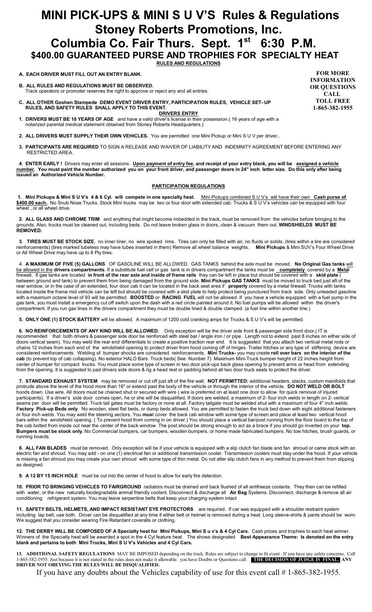## **MINI PICK-UPS & MINI S U V'S Rules & Regulations Stoney Roberts Promotions, Inc. Columbia Co. Fair Thurs. Sept. 1st 6:30 P.M. \$400.00 GUARANTEED PURSE AND TROPHIES FOR SPECIALTY HEAT**

## **RULES AND REGULATIONS**

## **A. EACH DRIVER MUST FILL OUT AN ENTRY BLANK.**

 **B. ALL RULES AND REGULATIONS MUST BE OBSERVED.** Track operators or promoter reserves the right to approve or reject any and all entries.

- **C. ALL OTHER Goshen Stampede DEMO EVENT DRIVER ENTRY, PARTICIPATION RULES, VEHICLE SET- UP RULES, AND SAFETY RULES SHALL APPLY TO THIS EVENT.**
- **DRIVERS ENTRY 1. DRIVERS MUST BE 18 YEARS OF AGE** and have a valid driver's license in their possession.( 16 years of age with a notarized parental medical statement obtained from Stoney Roberts Headquarters.)
- **2. ALL DRIVERS MUST SUPPLY THEIR OWN VEHICLES.** You are permitted one Mini Pickup or Mini S U V per driver..
- **3. PARTICIPANTS ARE REQUIRED** TO SIGN A RELEASE AND WAIVER OF LIABILITY AND INDEMNITY AGREEMENT BEFORE ENTERING ANY RESTRICTED AREA.

 **4. ENTER EARLY !** Drivers may enter all sessions. **Upon payment of entry fee, and receipt of your entry blank, you will be assigned a vehicle number. You must paint the number authorized you on your front driver, and passenger doors in 24" inch letter size. Do this only after being issued an Authorized Vehicle Number.**

#### **PARTICIPATION REGULATIONS**

 **1. Mini Pickups & Mini S U V's 4 & 6 Cyl. will compete in one specialty heat.** Mini Pickups combined S U V's will have their own **Cash purse of \$400.00 each.** No Snub Nose Trucks. Stock Mini trucks may be two or four door with extended cab. Trucks & S U V's vehicles can be equipped with four wheel , or all wheel drive.

 **2. ALL GLASS AND CHROME TRIM** and anything that might become imbedded in the track, must be removed from the vehicles before bringing to the grounds. Also, trucks must be cleaned out, including beds. Do not leave broken glass in doors, clean & vacuum them out. **WINDSHIELDS MUST BE REMOVED.**

 **3. TIRES MUST BE STOCK SIZE**, no inner liner, no wire spoked rims. Tires can only be filled with air, no fluids or solids. (tires within a tire are considered reinforcements) (tires marked tubeless may have tubes inserted in them) Remove all wheel balance weights. **Mini Pickups** & Mini SUV's Four Wheel Drive or All Wheel Drive may have up to 8 Ply tires.

 4. **A MAXIMUM OF FIVE (5) GALLONS** OF GASOLINE WILL BE ALLOWED. GAS TANKS behind the axle must be moved. **No Original Gas tanks** will be allowed in the **drivers compartments**. If a substitute fuel cell or gas tank is in drivers compartment the tanks must be **completely** covered by a **Meta**l firewall. If gas tanks are located **in front of the rear axle and inside of frame rails** they can be left in place but should be covered with a **skid plate** ( between ground and tank) to prevent them from being damaged from the ground side. **Mini Pickups GAS TANKS** must be moved to truck bed just aft of the rear window, or in the case of an extended, four door cab it can be located in the back seat area if **properly** covered by a metal firewall. Trucks with tanks located inside the frame mid vehicle can be left but should be covered with a skid plate to help protect being punctured from track side. Only unleaded gasoline with a maximum octane level of 93 will be permitted. **BOOSTED** or **RACING FUEL** will not be allowed. If you have a vehicle equipped with a fuel pump in the gas tank, you must install a emergency cut off switch upon the dash with a red circle painted around it. No fuel pumps will be allowed within the driver's compartment. If you run gas lines in the drivers compartment they must be double lined & double clamped. (a fuel line within another line.)

.  **5. ONLY ONE (1) STOCK BATTERY** will be allowed. A maximum of 1200 cold cranking amps for Trucks & S U V's will be permitted.

 **6. NO REINFORCEMENTS OF ANY KIND WILL BE ALLOWED.** Only exception will be the driver side front & passenger side front door,( IT is recommended that both drivers & passenger side door be reinforced with steel bar / angle iron / or pipe. Length not to extend past 8 inches on either side of doors vertical seam). You may weld the rear end differentials to create a positive traction rear end. It is suggested that you attach two vertical metal rods or chains 12 inches from each end of the windshield opening to protect driver from hood coming off of hinges. Trailer hitches or any type of stiffening device are considered reinforcements. Welding of bumper shocks are considered reinforcements. **Mini Trucks-** you may create **roll over bars on the interior of the cab** (to prevent top of cab collapsing). No exterior HALO Bars. Truck beds( See Number 7) Maximum Mini-Truck bumper height of 22 inches height from center of bumper for compact trucks. You must place some type of screen in two door pick-ups back glass opening to prevent arms or head from extending from the opening. It is suggested to pad drivers side doors & rig a head rest or padding behind all two door truck seats to protect the driver.

 **7. STANDARD EXHAUST SYSTEM** may be removed or cut off just aft of the fire wall. **NOT PERMITTED:** additional headers, stacks, custom manifolds that protrude above the level of the hood more than 16" or extend past the body of the vehicle or through the interior of the vehicle. **DO NOT WELD OR BOLT** hoods down. Use wire. All doors must be chained shut or secured with wire ( wire is preferred on at least one door to allow for quick removal of injured participants). If a driver's side door comes open, he or she will be disqualified. If doors are welded, a maximum of 2- four inch welds in length on 2- vertical seams per door will be permitted. Truck tail gates must be factory or none at all. Factory tailgate must be welded shut with a maximum of four 4" inch welds. **Factory Pick-up Beds only**. No wooden, steel flat beds, or dump beds allowed. You are permitted to fasten the truck bed down with eight additional fasteners or four inch welds. You may weld the steering sectors. You **mus**t cover the back cab window with some type of screen and place at least two vertical hood bars within the windshield opening. ( To prevent hood from coming in on driver.) You should place a vertical bar/post running from the floor board to the top of the cab bolted from inside out near the center of the back window. The post should be strong enough to act as a brace if you should go inverted on your **top. Bumpers must be stock only.** No Commercial bumpers, car bumpers, wooden bumpers, or home made fabricated bumpers. No tow hitches, brush guards, or running boards.

 **8. ALL FAN BLADES** must be removed. Only exception will be if your vehicle is equipped with a slip clutch fan blade and fan shroud or came stock with an electric fan and shroud. You may add - on one (1) electrical fan or additional transmission cooler. Transmission coolers must stay under the hood. If your vehicle is missing a fan shroud you may create your own shroud with some type of thin metal. Do not alter slip clutch fans in any method to prevent them from slipping as designed.

 **9. A 12 BY 15 INCH HOLE** must be cut into the center of hood to allow for early fire detection.

**10. PRIOR TO BRINGING VEHICLES TO FAIRGROUND** radiators must be drained and back flushed of all antifreeze coolants. They then can be refilled with water, or the new naturally biodegradable animal friendly coolant. Disconnect & discharge all **Air Bag** Systems. Disconnect, discharge & remove all air conditioning refrigerant system. You may leave serpentine belts that keep your charging system intact

**11. SAFETY BELTS, HELMETS, AND IMPACT RESISTANT EYE PROTECTORS** are required. If car was equipped with a shoulder restraint system including lap belt, use both. Driver can be disqualified at any time if either belt or helmet is removed during a heat. Long sleeve-shirts & pants should be worn. We suggest that you consider wearing Fire Retardant coveralls or clothing.

**12. THE DERBY WILL BE COMPOSED OF A Specialty heat for Mini Pickups, Mini S u v's & 4 Cyl Cars.** Cash prizes and trophies to each heat winner. Winners of the Specialty heat will be awarded a spot in the 4 Cyl feature heat. The shows designated **Best Appearance Theme: Is denoted on the entry blank and pertains to both Mini Trucks, Mini S U V's Vehicles and 4 Cyl Cars.**

**13. ADDITIONAL SAFETY REGULATIONS** MAY BE IMPOSED depending on the track. Rules are subject to change to fit event . If you have any safety concerns, Call 1-865-382-1955. Just because it is not stated in the rules does not make it allowable. you have Doubts or Questions call. **THE DECISION OF JUDGE IS FINAL. ANY DRIVER NOT OBEYING THE RULES WILL BE DISQUALIFIED.** 

If you have any doubts about the Vehicles capability of use for this event call  $# 1$ -865-382-1955.

**FOR MORE INFORMATION OR QUESTIONS CALL TOLL FREE 1-865-382-1955**